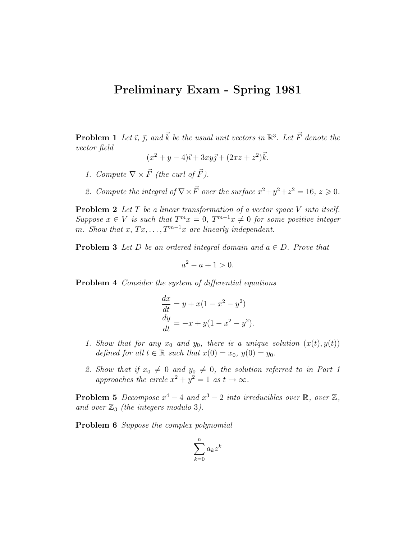## Preliminary Exam - Spring 1981

**Problem 1** Let  $\vec{i}$ ,  $\vec{j}$ , and  $\vec{k}$  be the usual unit vectors in  $\mathbb{R}^3$ . Let  $\vec{F}$  denote the vector field

$$
(x^2 + y - 4)\vec{i} + 3xy\vec{j} + (2xz + z^2)\vec{k}.
$$

- 1. Compute  $\nabla \times \vec{F}$  (the curl of  $\vec{F}$ ).
- 2. Compute the integral of  $\nabla \times \vec{F}$  over the surface  $x^2 + y^2 + z^2 = 16$ ,  $z \ge 0$ .

**Problem 2** Let  $T$  be a linear transformation of a vector space  $V$  into itself. Suppose  $x \in V$  is such that  $T^m x = 0$ ,  $T^{m-1} x \neq 0$  for some positive integer m. Show that  $x, Tx, \ldots, T^{m-1}x$  are linearly independent.

**Problem 3** Let D be an ordered integral domain and  $a \in D$ . Prove that

$$
a^2 - a + 1 > 0.
$$

Problem 4 Consider the system of differential equations

$$
\frac{dx}{dt} = y + x(1 - x^{2} - y^{2})
$$
  
\n
$$
\frac{dy}{dt} = -x + y(1 - x^{2} - y^{2}).
$$

- 1. Show that for any  $x_0$  and  $y_0$ , there is a unique solution  $(x(t), y(t))$ defined for all  $t \in \mathbb{R}$  such that  $x(0) = x_0$ ,  $y(0) = y_0$ .
- 2. Show that if  $x_0 \neq 0$  and  $y_0 \neq 0$ , the solution referred to in Part 1 approaches the circle  $x^2 + y^2 = 1$  as  $t \to \infty$ .

**Problem 5** Decompose  $x^4 - 4$  and  $x^3 - 2$  into irreducibles over  $\mathbb{R}$ , over  $\mathbb{Z}$ , and over  $\mathbb{Z}_3$  (the integers modulo 3).

Problem 6 Suppose the complex polynomial

$$
\sum_{k=0}^n a_k z^k
$$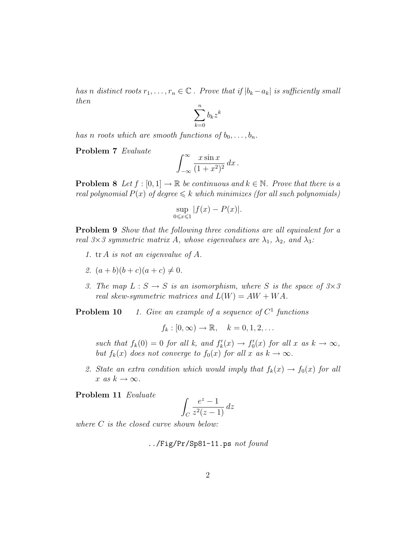has n distinct roots  $r_1, \ldots, r_n \in \mathbb{C}$ . Prove that if  $|b_k - a_k|$  is sufficiently small then

$$
\sum_{k=0}^n b_k z^k
$$

has n roots which are smooth functions of  $b_0, \ldots, b_n$ .

Problem 7 Evaluate

$$
\int_{-\infty}^{\infty} \frac{x \sin x}{(1+x^2)^2} \, dx \, .
$$

**Problem 8** Let  $f : [0, 1] \to \mathbb{R}$  be continuous and  $k \in \mathbb{N}$ . Prove that there is a real polynomial  $P(x)$  of degree  $\leq k$  which minimizes (for all such polynomials)

$$
\sup_{0 \leq x \leq 1} |f(x) - P(x)|.
$$

**Problem 9** Show that the following three conditions are all equivalent for a real  $3\times3$  symmetric matrix A, whose eigenvalues are  $\lambda_1$ ,  $\lambda_2$ , and  $\lambda_3$ :

- 1. tr A is not an eigenvalue of A.
- 2.  $(a + b)(b + c)(a + c) \neq 0$ .
- 3. The map  $L : S \to S$  is an isomorphism, where S is the space of  $3 \times 3$ real skew-symmetric matrices and  $L(W) = AW + WA$ .

**Problem 10** 1. Give an example of a sequence of  $C^1$  functions

$$
f_k : [0, \infty) \to \mathbb{R}, \quad k = 0, 1, 2, \dots
$$

such that  $f_k(0) = 0$  for all k, and  $f'_k(x) \to f'_0(x)$  for all x as  $k \to \infty$ , but  $f_k(x)$  does not converge to  $f_0(x)$  for all x as  $k \to \infty$ .

2. State an extra condition which would imply that  $f_k(x) \to f_0(x)$  for all x as  $k \to \infty$ .

Problem 11 Evaluate

$$
\int_C \frac{e^z - 1}{z^2(z - 1)} \, dz
$$

where *C* is the closed curve shown below:

../Fig/Pr/Sp81-11.ps not found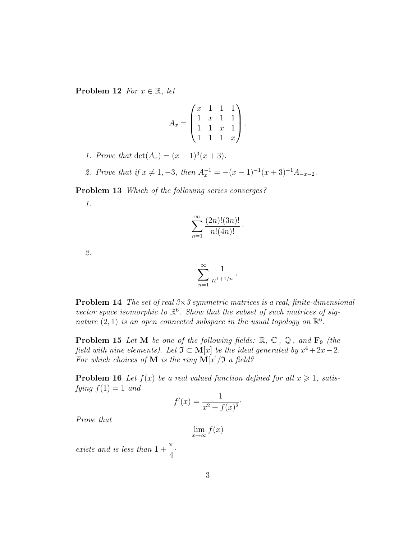Problem 12 For  $x \in \mathbb{R}$ , let

$$
A_x = \begin{pmatrix} x & 1 & 1 & 1 \\ 1 & x & 1 & 1 \\ 1 & 1 & x & 1 \\ 1 & 1 & 1 & x \end{pmatrix}.
$$

- 1. Prove that  $\det(A_x) = (x-1)^3(x+3)$ .
- 2. Prove that if  $x \neq 1, -3$ , then  $A_x^{-1} = -(x 1)^{-1}(x + 3)^{-1}A_{-x-2}$ .

Problem 13 Which of the following series converges?

1.

$$
\sum_{n=1}^{\infty} \frac{(2n)!(3n)!}{n!(4n)!}.
$$

2.

$$
\sum_{n=1}^{\infty} \frac{1}{n^{1+1/n}} \, .
$$

**Problem 14** The set of real  $3 \times 3$  symmetric matrices is a real, finite-dimensional vector space isomorphic to  $\mathbb{R}^6$ . Show that the subset of such matrices of signature  $(2, 1)$  is an open connected subspace in the usual topology on  $\mathbb{R}^6$ .

**Problem 15** Let M be one of the following fields:  $\mathbb{R}$ ,  $\mathbb{C}$ ,  $\mathbb{Q}$ , and  $\mathbf{F}_9$  (the field with nine elements). Let  $\mathfrak{I} \subset \mathbf{M}[x]$  be the ideal generated by  $x^4 + 2x - 2$ . For which choices of **M** is the ring  $\mathbf{M}[x]/\mathfrak{I}$  a field?

**Problem 16** Let  $f(x)$  be a real valued function defined for all  $x \ge 1$ , satisfying  $f(1) = 1$  and

$$
f'(x) = \frac{1}{x^2 + f(x)^2}.
$$

Prove that

 $\lim_{x\to\infty}f(x)$ 

exists and is less than 1 + π 4 ·